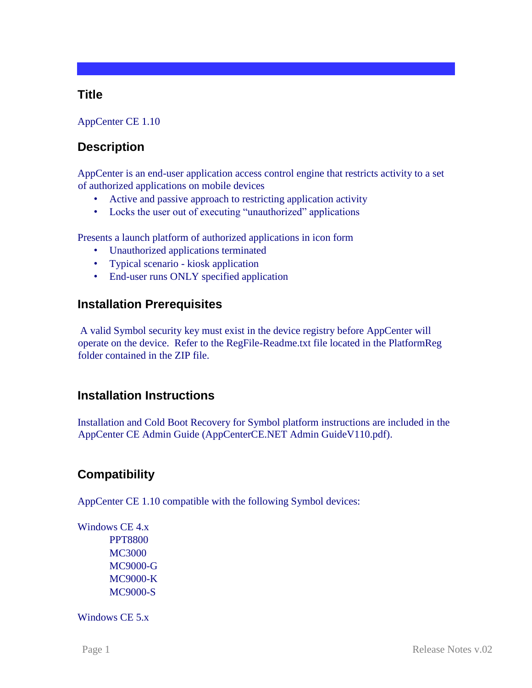## **Title**

#### AppCenter CE 1.10

# **Description**

AppCenter is an end-user application access control engine that restricts activity to a set of authorized applications on mobile devices

- Active and passive approach to restricting application activity
- Locks the user out of executing "unauthorized" applications

Presents a launch platform of authorized applications in icon form

- Unauthorized applications terminated
- Typical scenario kiosk application
- End-user runs ONLY specified application

## **Installation Prerequisites**

A valid Symbol security key must exist in the device registry before AppCenter will operate on the device. Refer to the RegFile-Readme.txt file located in the PlatformReg folder contained in the ZIP file.

## **Installation Instructions**

Installation and Cold Boot Recovery for Symbol platform instructions are included in the AppCenter CE Admin Guide (AppCenterCE.NET Admin GuideV110.pdf).

## **Compatibility**

AppCenter CE 1.10 compatible with the following Symbol devices:

Windows CE 4.x PPT8800 MC3000 MC9000-G MC9000-K MC9000-S

Windows CE 5.x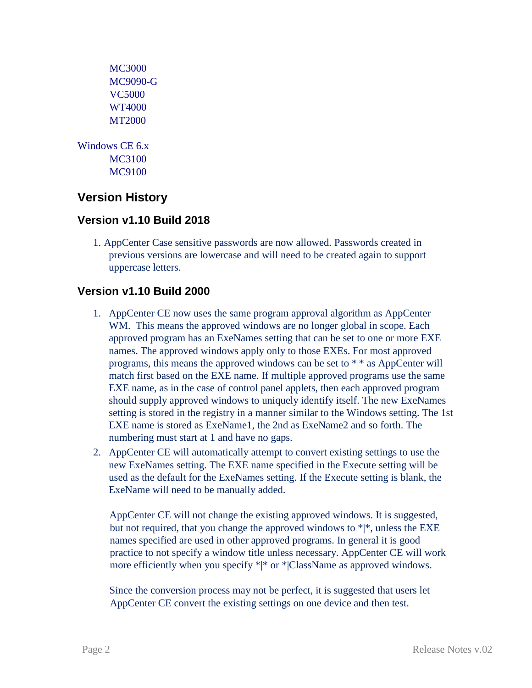```
MC3000 
      MC9090-G 
      VC5000 
      WT4000 
      MT2000 
Windows CE 6.x 
      MC3100 
      MC9100
```
# **Version History**

### **Version v1.10 Build 2018**

1. AppCenter Case sensitive passwords are now allowed. Passwords created in previous versions are lowercase and will need to be created again to support uppercase letters.

#### **Version v1.10 Build 2000**

- 1. AppCenter CE now uses the same program approval algorithm as AppCenter WM. This means the approved windows are no longer global in scope. Each approved program has an ExeNames setting that can be set to one or more EXE names. The approved windows apply only to those EXEs. For most approved programs, this means the approved windows can be set to \*|\* as AppCenter will match first based on the EXE name. If multiple approved programs use the same EXE name, as in the case of control panel applets, then each approved program should supply approved windows to uniquely identify itself. The new ExeNames setting is stored in the registry in a manner similar to the Windows setting. The 1st EXE name is stored as ExeName1, the 2nd as ExeName2 and so forth. The numbering must start at 1 and have no gaps.
- 2. AppCenter CE will automatically attempt to convert existing settings to use the new ExeNames setting. The EXE name specified in the Execute setting will be used as the default for the ExeNames setting. If the Execute setting is blank, the ExeName will need to be manually added.

AppCenter CE will not change the existing approved windows. It is suggested, but not required, that you change the approved windows to  $*|*$ , unless the EXE names specified are used in other approved programs. In general it is good practice to not specify a window title unless necessary. AppCenter CE will work more efficiently when you specify \*|\* or \*|ClassName as approved windows.

Since the conversion process may not be perfect, it is suggested that users let AppCenter CE convert the existing settings on one device and then test.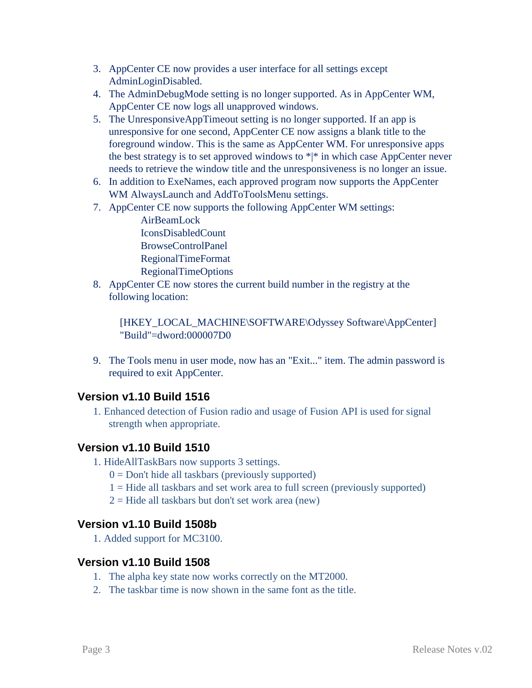- 3. AppCenter CE now provides a user interface for all settings except AdminLoginDisabled.
- 4. The AdminDebugMode setting is no longer supported. As in AppCenter WM, AppCenter CE now logs all unapproved windows.
- 5. The UnresponsiveAppTimeout setting is no longer supported. If an app is unresponsive for one second, AppCenter CE now assigns a blank title to the foreground window. This is the same as AppCenter WM. For unresponsive apps the best strategy is to set approved windows to  $*|*$  in which case AppCenter never needs to retrieve the window title and the unresponsiveness is no longer an issue.
- 6. In addition to ExeNames, each approved program now supports the AppCenter WM AlwaysLaunch and AddToToolsMenu settings.
- 7. AppCenter CE now supports the following AppCenter WM settings:

AirBeamLock IconsDisabledCount BrowseControlPanel RegionalTimeFormat RegionalTimeOptions

8. AppCenter CE now stores the current build number in the registry at the following location:

 [HKEY\_LOCAL\_MACHINE\SOFTWARE\Odyssey Software\AppCenter] "Build"=dword:000007D0

9. The Tools menu in user mode, now has an "Exit..." item. The admin password is required to exit AppCenter.

## **Version v1.10 Build 1516**

1. Enhanced detection of Fusion radio and usage of Fusion API is used for signal strength when appropriate.

## **Version v1.10 Build 1510**

- 1. HideAllTaskBars now supports 3 settings.
	- $0 = Don't hide all taskbars (previously supported)$
	- 1 = Hide all taskbars and set work area to full screen (previously supported)
	- $2 =$  Hide all taskbars but don't set work area (new)

## **Version v1.10 Build 1508b**

1. Added support for MC3100.

## **Version v1.10 Build 1508**

- 1. The alpha key state now works correctly on the MT2000.
- 2. The taskbar time is now shown in the same font as the title.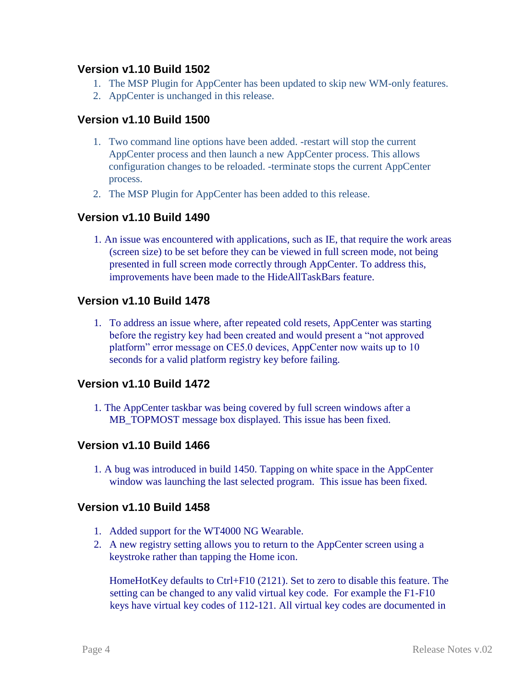#### **Version v1.10 Build 1502**

- 1. The MSP Plugin for AppCenter has been updated to skip new WM-only features.
- 2. AppCenter is unchanged in this release.

#### **Version v1.10 Build 1500**

- 1. Two command line options have been added. -restart will stop the current AppCenter process and then launch a new AppCenter process. This allows configuration changes to be reloaded. -terminate stops the current AppCenter process.
- 2. The MSP Plugin for AppCenter has been added to this release.

### **Version v1.10 Build 1490**

1. An issue was encountered with applications, such as IE, that require the work areas (screen size) to be set before they can be viewed in full screen mode, not being presented in full screen mode correctly through AppCenter. To address this, improvements have been made to the HideAllTaskBars feature.

#### **Version v1.10 Build 1478**

1. To address an issue where, after repeated cold resets, AppCenter was starting before the registry key had been created and would present a "not approved platform" error message on CE5.0 devices, AppCenter now waits up to 10 seconds for a valid platform registry key before failing.

### **Version v1.10 Build 1472**

1. The AppCenter taskbar was being covered by full screen windows after a MB\_TOPMOST message box displayed. This issue has been fixed.

### **Version v1.10 Build 1466**

1. A bug was introduced in build 1450. Tapping on white space in the AppCenter window was launching the last selected program. This issue has been fixed.

#### **Version v1.10 Build 1458**

- 1. Added support for the WT4000 NG Wearable.
- 2. A new registry setting allows you to return to the AppCenter screen using a keystroke rather than tapping the Home icon.

HomeHotKey defaults to Ctrl+F10 (2121). Set to zero to disable this feature. The setting can be changed to any valid virtual key code. For example the F1-F10 keys have virtual key codes of 112-121. All virtual key codes are documented in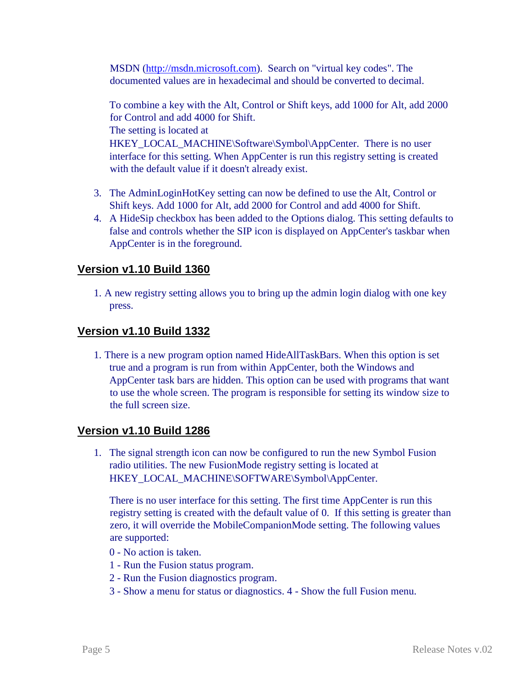MSDN [\(http://msdn.microsoft.com\).](http://msdn.microsoft.com/) Search on "virtual key codes". The documented values are in hexadecimal and should be converted to decimal.

To combine a key with the Alt, Control or Shift keys, add 1000 for Alt, add 2000 for Control and add 4000 for Shift. The setting is located at

HKEY\_LOCAL\_MACHINE\Software\Symbol\AppCenter. There is no user interface for this setting. When AppCenter is run this registry setting is created with the default value if it doesn't already exist.

- 3. The AdminLoginHotKey setting can now be defined to use the Alt, Control or Shift keys. Add 1000 for Alt, add 2000 for Control and add 4000 for Shift.
- 4. A HideSip checkbox has been added to the Options dialog. This setting defaults to false and controls whether the SIP icon is displayed on AppCenter's taskbar when AppCenter is in the foreground.

## **Version v1.10 Build 1360**

1. A new registry setting allows you to bring up the admin login dialog with one key press.

## **Version v1.10 Build 1332**

1. There is a new program option named HideAllTaskBars. When this option is set true and a program is run from within AppCenter, both the Windows and AppCenter task bars are hidden. This option can be used with programs that want to use the whole screen. The program is responsible for setting its window size to the full screen size.

### **Version v1.10 Build 1286**

1. The signal strength icon can now be configured to run the new Symbol Fusion radio utilities. The new FusionMode registry setting is located at HKEY\_LOCAL\_MACHINE\SOFTWARE\Symbol\AppCenter.

There is no user interface for this setting. The first time AppCenter is run this registry setting is created with the default value of 0. If this setting is greater than zero, it will override the MobileCompanionMode setting. The following values are supported:

- 0 No action is taken.
- 1 Run the Fusion status program.
- 2 Run the Fusion diagnostics program.
- 3 Show a menu for status or diagnostics. 4 Show the full Fusion menu.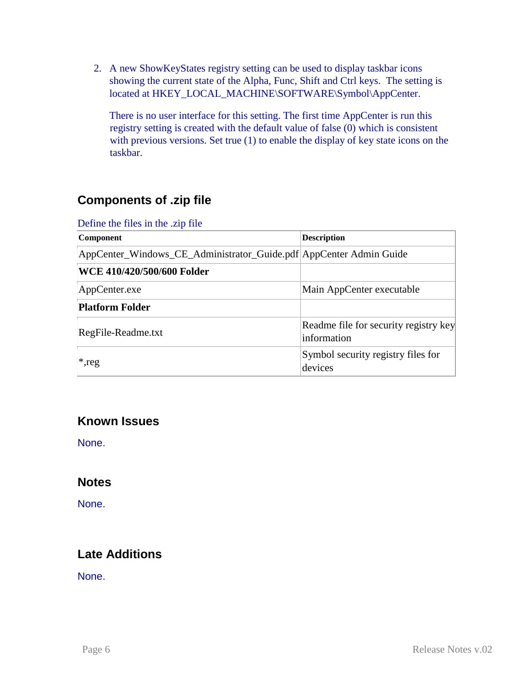2. A new ShowKeyStates registry setting can be used to display taskbar icons showing the current state of the Alpha, Func, Shift and Ctrl keys. The setting is located at HKEY\_LOCAL\_MACHINE\SOFTWARE\Symbol\AppCenter.

There is no user interface for this setting. The first time AppCenter is run this registry setting is created with the default value of false (0) which is consistent with previous versions. Set true (1) to enable the display of key state icons on the taskbar.

# **Components of .zip file**

| Denne and they in the this the<br><b>Component</b>                   | <b>Description</b>                                   |
|----------------------------------------------------------------------|------------------------------------------------------|
| AppCenter_Windows_CE_Administrator_Guide.pdf   AppCenter Admin Guide |                                                      |
| WCE 410/420/500/600 Folder                                           |                                                      |
| AppCenter.exe                                                        | Main AppCenter executable                            |
| <b>Platform Folder</b>                                               |                                                      |
| RegFile-Readme.txt                                                   | Readme file for security registry key<br>information |
| $*$ , reg                                                            | Symbol security registry files for<br>devices        |

Define the files in the zin file

# **Known Issues**

None.

## **Notes**

None.

# **Late Additions**

None.